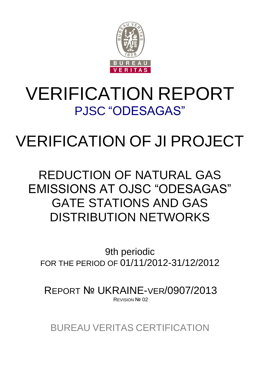

## VERIFICATION REPORT PJSC "ODESAGAS"

# VERIFICATION OF JI PROJECT

### REDUCTION OF NATURAL GAS EMISSIONS AT OJSC "ODESAGAS" GATE STATIONS AND GAS DISTRIBUTION NETWORKS

9th periodic FOR THE PERIOD OF 01/11/2012-31/12/2012

REPORT № UKRAINE-VER/0907/2013 REVISION Nº 02

BUREAU VERITAS CERTIFICATION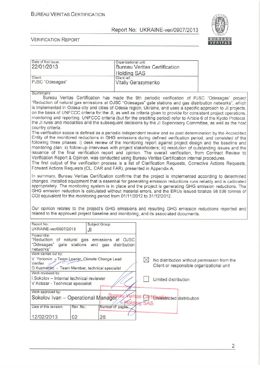#### **BUREAU VERITAS CERTIFICATION**

#### Report No: UKRAINE-ver/0907/2013



| Date of first issue:                                                                                                                                                                                                        | Organizational unit:       |             |                                       |                                             |
|-----------------------------------------------------------------------------------------------------------------------------------------------------------------------------------------------------------------------------|----------------------------|-------------|---------------------------------------|---------------------------------------------|
| 22/01/2013                                                                                                                                                                                                                  |                            |             | <b>Bureau Veritas Certification</b>   |                                             |
|                                                                                                                                                                                                                             | <b>Holding SAS</b>         |             |                                       |                                             |
| Client:                                                                                                                                                                                                                     | Client ref.:               |             |                                       |                                             |
| PJSC "Odesagas"                                                                                                                                                                                                             | <b>Vitaliy Gerasymenko</b> |             |                                       |                                             |
|                                                                                                                                                                                                                             |                            |             |                                       |                                             |
| Summary:                                                                                                                                                                                                                    |                            |             |                                       |                                             |
| Bureau Veritas Certification has made the 9th periodic verification of PJSC "Odesagas" project                                                                                                                              |                            |             |                                       |                                             |
| "Reduction of natural gas emissions at OJSC "Odesagas" gate stations and gas distribution networks", which                                                                                                                  |                            |             |                                       |                                             |
| is implemented in Odesa city and cities of Odesa region, Ukraine, and uses a specific approach to JI projects,                                                                                                              |                            |             |                                       |                                             |
| on the basis of UNFCCC criteria for the JI, as well as criteria given to provide for consistent project operations,                                                                                                         |                            |             |                                       |                                             |
| monitoring and reporting. UNFCCC criteria (but for the crediting period) refer to Article 6 of the Kyoto Protocol,                                                                                                          |                            |             |                                       |                                             |
| the JI rules and modalities and the subsequent decisions by the JI Supervisory Committee, as well as the host                                                                                                               |                            |             |                                       |                                             |
| country criteria.                                                                                                                                                                                                           |                            |             |                                       |                                             |
| The verification scope is defined as a periodic independent review and ex post determination by the Accredited                                                                                                              |                            |             |                                       |                                             |
| Entity of the monitored reductions in GHG emissions during defined verification period, and consisted of the<br>following three phases: i) desk review of the monitoring report against project design and the baseline and |                            |             |                                       |                                             |
| monitoring plan; ii) follow-up interviews with project stakeholders; iii) resolution of outstanding issues and the                                                                                                          |                            |             |                                       |                                             |
| issuance of the final verification report and opinion. The overall verification, from Contract Review to                                                                                                                    |                            |             |                                       |                                             |
| Verification Report & Opinion, was conducted using Bureau Veritas Certification internal procedures.                                                                                                                        |                            |             |                                       |                                             |
| The first output of the verification process is a list of Clarification Requests, Corrective Actions Requests,                                                                                                              |                            |             |                                       |                                             |
| Forward Actions Requests (CL, CAR and FAR), presented in Appendix A.                                                                                                                                                        |                            |             |                                       |                                             |
|                                                                                                                                                                                                                             |                            |             |                                       |                                             |
| In summary, Bureau Veritas Certification confirms that the project is implemented according to determined                                                                                                                   |                            |             |                                       |                                             |
| changes. Installed equipment that is essential for generating emission reductions runs reliably and is calibrated                                                                                                           |                            |             |                                       |                                             |
| appropriately. The monitoring system is in place and the project is generating GHG emission reductions. The<br>GHG emission reduction is calculated without material errors, and the ERUs issued totalize 98 836 tonnes of  |                            |             |                                       |                                             |
| CO <sub>2</sub> equivalent for the monitoring period from 01/11/2012 to 31/12/2012.                                                                                                                                         |                            |             |                                       |                                             |
|                                                                                                                                                                                                                             |                            |             |                                       |                                             |
|                                                                                                                                                                                                                             |                            |             |                                       |                                             |
| Our opinion relates to the project's GHG emissions and resulting GHG emission reductions reported and<br>related to the approved project baseline and monitoring, and its associated documents.                             |                            |             |                                       |                                             |
|                                                                                                                                                                                                                             |                            |             |                                       |                                             |
| Report No.:<br>Subject Group:                                                                                                                                                                                               |                            |             |                                       |                                             |
| UKRAINE-ver/0907/2013<br>JI                                                                                                                                                                                                 |                            |             |                                       |                                             |
| Project title:                                                                                                                                                                                                              |                            |             |                                       |                                             |
| "Reduction of natural gas emissions at OJSC                                                                                                                                                                                 |                            |             |                                       |                                             |
| "Odesagas"<br>gate stations and gas distribution                                                                                                                                                                            |                            |             |                                       |                                             |
| networks"                                                                                                                                                                                                                   |                            |             |                                       |                                             |
| Work carried out by:                                                                                                                                                                                                        |                            |             |                                       |                                             |
| V. Yeriomin - Team Leader, Climate Change Lead<br>Verifier                                                                                                                                                                  |                            | $\boxtimes$ |                                       | No distribution without permission from the |
| O.Kuzmenko - Team Member, technical specialist                                                                                                                                                                              |                            |             |                                       | Client or responsible organizational unit   |
| Work reviewed by:                                                                                                                                                                                                           |                            |             |                                       |                                             |
| I.Sokolov - Internal technical reviewer                                                                                                                                                                                     |                            |             |                                       |                                             |
| V. Kobzar - Technical specialist                                                                                                                                                                                            |                            |             | Limited distribution                  |                                             |
|                                                                                                                                                                                                                             |                            |             |                                       |                                             |
| Work approved by:                                                                                                                                                                                                           |                            |             |                                       |                                             |
| Sokolov Ivan - Operational Manager                                                                                                                                                                                          | eritas                     |             | <b>Certifinestricted</b> distribution |                                             |
|                                                                                                                                                                                                                             | <b>Tolding</b>             |             |                                       |                                             |
| Date of this revision:<br>Rev. No.:                                                                                                                                                                                         | Number of pages:           |             |                                       |                                             |
| 12/02/2013<br>02<br>26                                                                                                                                                                                                      |                            |             |                                       |                                             |
|                                                                                                                                                                                                                             |                            |             |                                       |                                             |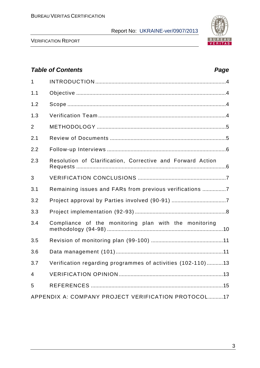

VERIFICATION REPORT

### *Table of Contents Page* 1 INTRODUCTION .........................................................................................4 1.1 Objective ......................................................................................................4 1.2 Scope ............................................................................................................4 1.3 Verification Team .......................................................................................4 2 METHODOLOGY ........................................................................................5 2.1 Review of Documents ...............................................................................5 2.2 Follow-up Interviews .................................................................................6 2.3 Resolution of Сlarification, Сorrective and Forward Action Requests ......................................................................................................6 3 VERIFICATION CONCLUSIONS ............................................................7 3.1 Remaining issues and FARs from previous verifications ................7 3.2 Project approval by Parties involved (90-91) .....................................7 3.3 Project implementation (92-93) ..............................................................8 3.4 Compliance of the monitoring plan with the monitoring methodology (94-98) ...............................................................................10 3.5 Revision of monitoring plan (99-100) .................................................11 3.6 Data management (101).........................................................................11 3.7 Verification regarding programmes of activities (102-110) ...........13 4 VERIFICATION OPINION .......................................................................13 5 REFERENCES ..........................................................................................15 APPENDIX A: COMPANY PROJECT VERIFICATION PROTOCOL..........17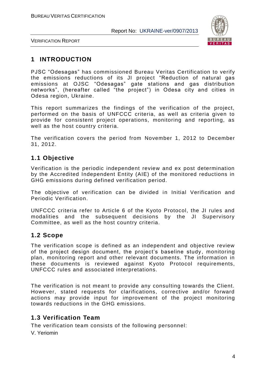

VERIFICATION REPORT

#### **1 INTRODUCTION**

PJSC "Odesagas" has commissioned Bureau Veritas Certification to verify the emissions reductions of its JI project "Reduction of natural gas emissions at OJSC "Odesagas" gate stations and gas distribution networks", (hereafter called "the project") in Odesa city and cities in Odesa region, Ukraine.

This report summarizes the findings of the verification of the project, performed on the basis of UNFCCC criteria, as well as criteria given to provide for consistent project operations, monitoring and reporting, as well as the host country criteria.

The verification covers the period from November 1, 2012 to December 31, 2012.

#### **1.1 Objective**

Verification is the periodic independent review and ex post determination by the Accredited Independent Entity (AIE) of the monitored reductions in GHG emissions during defined verification period.

The objective of verification can be divided in Initial Verification and Periodic Verification.

UNFCCC criteria refer to Article 6 of the Kyoto Protocol, the JI rules and modalities and the subsequent decisions by the JI Supervisory Committee, as well as the host country criteria.

#### **1.2 Scope**

The verification scope is defined as an independent and objective review of the project design document, the project's baseline study, monitoring plan, monitoring report and other relevant documents. The information in these documents is reviewed against Kyoto Protocol requirements, UNFCCC rules and associated interpretations.

The verification is not meant to provide any consulting towards the Client. However, stated requests for clarifications, corrective and/or forward actions may provide input for improvement of the project monitoring towards reductions in the GHG emissions.

#### **1.3 Verification Team**

The verification team consists of the following personnel:

V. Yeriomin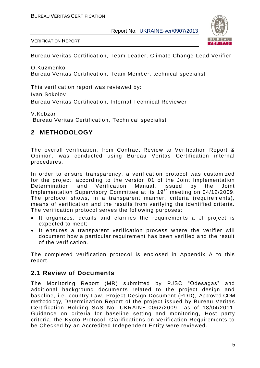

VERIFICATION REPORT

Bureau Veritas Certification, Team Leader, Climate Change Lead Verifier

O.Kuzmenko Bureau Veritas Certification, Team Member, technical specialist

This verification report was reviewed by: Ivan Sokolov Bureau Veritas Certification, Internal Technical Reviewer

V.Kobzar

Bureau Veritas Certification, Technical specialist

#### **2 METHODOLOGY**

The overall verification, from Contract Review to Verification Report & Opinion, was conducted using Bureau Veritas Certification internal procedures.

In order to ensure transparency, a verification protocol was customized for the project, according to the version 01 of the Joint Implementation Determination and Verification Manual, issued by the Joint Implementation Supervisory Committee at its 19<sup>th</sup> meeting on 04/12/2009. The protocol shows, in a transparent manner, criteria (requirements), means of verification and the results from verifying the identified criteria. The verification protocol serves the following purposes:

- It organizes, details and clarifies the requirements a JI project is expected to meet;
- It ensures a transparent verification process where the verifier will document how a particular requirement has been verified and the result of the verification.

The completed verification protocol is enclosed in Appendix A to this report.

#### **2.1 Review of Documents**

The Monitoring Report (MR) submitted by PJSC "Odesagas" and additional background documents related to the project design and baseline, i.e. country Law, Project Design Document (PDD), Approved CDM methodology, Determination Report of the project issued by Bureau Veritas Certification Holding SAS No. UKRAINE-0062/2009 as of 18/04/2011, Guidance on criteria for baseline setting and monitoring, Host party criteria, the Kyoto Protocol, Clarifications on Verification Requirements to be Checked by an Accredited Independent Entity were reviewed.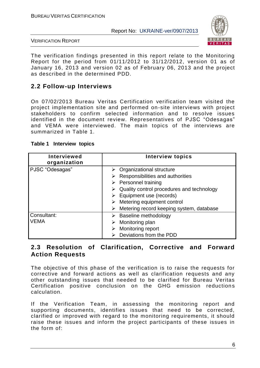

VERIFICATION REPORT

The verification findings presented in this report relate to the Monitoring Report for the period from 01/11/2012 to 31/12/2012, version 01 as of January 16, 2013 and version 02 as of February 06, 2013 and the project as described in the determined PDD.

#### **2.2 Follow-up Interviews**

On 07/02/2013 Bureau Veritas Certification verification team visited the project implementation site and performed on-site interviews with project stakeholders to confirm selected information and to resolve issues identified in the document review. Representatives of PJSC "Odesagas" and VEMA were interviewed. The main topics of the interviews are summarized in Table 1.

| <b>Interviewed</b><br>organization | <b>Interview topics</b>                                                                                                                                                                                                                                                                      |
|------------------------------------|----------------------------------------------------------------------------------------------------------------------------------------------------------------------------------------------------------------------------------------------------------------------------------------------|
| PJSC "Odesagas"                    | $\triangleright$ Organizational structure<br>Responsibilities and authorities<br>$\triangleright$ Personnel training<br>Quality control procedures and technology<br>$\triangleright$ Equipment use (records)<br>Metering equipment control<br>Metering record keeping system, database<br>➤ |
| Consultant:<br><b>VEMA</b>         | Baseline methodology<br>Monitoring plan<br>Monitoring report<br>Deviations from the PDD                                                                                                                                                                                                      |

#### **Table 1 Interview topics**

#### **2.3 Resolution of Clarification, Corrective and Forward Action Requests**

The objective of this phase of the verification is to raise the requests for corrective and forward actions as well as clarification requests and any other outstanding issues that needed to be clarified for Bureau Veritas Certification positive conclusion on the GHG emission reductions calculation.

If the Verification Team, in assessing the monitoring report and supporting documents, identifies issues that need to be corrected, clarified or improved with regard to the monitoring requirements, it should raise these issues and inform the project participants of these issues in the form of: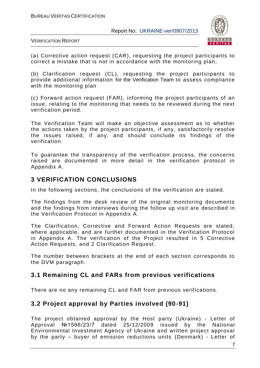

VERIFICATION REPORT

(а) Corrective action request (CAR), requesting the project participants to correct a mistake that is not in accordance with the monitoring plan;

(b) Clarification request (CL), requesting the project participants to provide additional information for the Verification Team to assess compliance with the monitoring plan

(c) Forward action request (FAR), informing the project participants of an issue, relating to the monitoring that needs to be reviewed during the next verification period.

The Verification Team will make an objective assessment as to whether the actions taken by the project participants, if any, satisfactorily resolve the issues raised, if any, and should conclude its findings of the verification.

To guarantee the transparency of the verification process, the concerns raised are documented in more detail in the verification protocol in Appendix A.

#### **3 VERIFICATION CONCLUSIONS**

In the following sections, the conclusions of the verification are stated.

The findings from the desk review of the original monitoring documents and the findings from interviews during the follow up visit are described in the Verification Protocol in Appendix A.

The Clarification, Corrective and Forward Action Requests are stated, where applicable, and are further documented in the Verification Protocol in Appendix A. The verification of the Project resulted in 5 Corrective Action Requests, and 2 Clarification Request.

The number between brackets at the end of each section corresponds to the DVM paragraph.

#### **3.1 Remaining CL and FARs from previous verifications**

There are no any remaining CL and FAR from previous verifications.

#### **3.2 Project approval by Parties involved (90-91)**

The project obtained approval by the Host party (Ukraine) - Letter of Approval №1566/23/7 dated 25/12/2009 issued by the National Environmental Investment Agency of Ukraine and written project approval by the party – buyer of emission reductions units (Denmark) - Letter of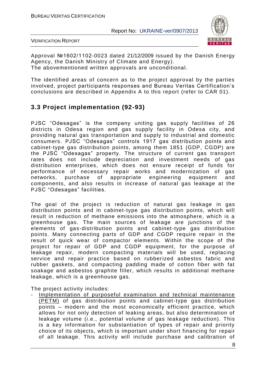

VERIFICATION REPORT

Approval №1602/1102-0023 dated 21/12/2009 issued by the Danish Energy Agency, the Danish Ministry of Climate and Energy). The abovementioned written approvals are unconditional.

The identified areas of concern as to the project approval by the parties involved, project participants responses and Bureau Veritas Certification's conclusions are described in Appendix A to this report (refer to CAR 01).

#### **3.3 Project implementation (92-93)**

PJSC "Odesagas" is the company uniting gas supply facilities of 26 districts in Odesa region and gas supply facility in Odesa city, and providing natural gas transportation and supply to industrial and domestic consumers. PJSC "Odesagas" controls 1917 gas distribution points and cabinet-type gas distribution points, among them 1851 (GDP, CGDP) are the PJSC "Odesagas" property. The structure of current gas transport rates does not include depreciation and investment needs of gas distribution enterprises, which does not ensure receipt of funds for performance of necessary repair works and modernization of gas networks, purchase of appropriate engineering equipment and components, and also results in increase of natural gas leakage at the PJSC "Odesagas" facilities.

The goal of the project is reduction of natural gas leakage in gas distribution points and in cabinet-type gas distribution points, which will result in reduction of methane emissions into the atmosphere, which is a greenhouse gas. The main sources of leakage are junctions of the elements of gas-distribution points and cabinet-type gas distribution points. Many connecting parts of GDP and CGDP require repair in the result of quick wear of compactor elements. Within the scope of the project for repair of GDP and CGDP equipment, for the purpose of leakage repair, modern compacting materials will be used, replacing service and repair practice based on rubberized asbestos fabric and rubber gaskets, and compacting padding made of cotton fiber with fat soakage and asbestos graphite filler, which results in additional methane leakage, which is a greenhouse gas.

The project activity includes:

Implementation of purposeful examination and technical maintenance (PETM) of gas distribution points and cabinet-type gas distribution points – modern and the most economically efficient practice, which allows for not only detection of leaking areas, but also determination of leakage volume (i.e., potential volume of gas leakage reduction). This is a key information for substantiation of types of repair and priority choice of its objects, which is important under short financing for repair of all leakage. This activity will include purchase and calibration of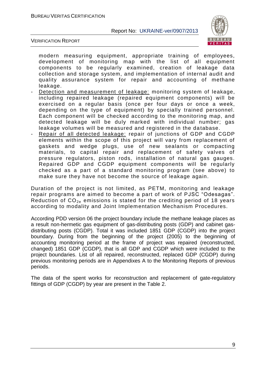

VERIFICATION REPORT

modern measuring equipment, appropriate training of employees, development of monitoring map with the list of all equipment components to be regularly examined, creation of leakage data collection and storage system, and implementation of internal audit and quality assurance system for repair and accounting of methane leakage.

- Detection and measurement of leakage: monitoring system of leakage, including repaired leakage (repaired equipment components) will be exercised on a regular basis (once per four days or once a week, depending on the type of equipment) by specially trained personnel. Each component will be checked according to the monitoring map, and detected leakage will be duly marked with individual number; gas leakage volumes will be measured and registered in the database.
- Repair of all detected leakage: repair of junctions of GDP and CGDP elements within the scope of this project will vary from replacement of gaskets and wedge plugs, use of new sealants or compacting materials, to capital repair and replacement of safety valves of pressure regulators, piston rods, installation of natural gas gauges. Repaired GDP and CGDP equipment components will be regularly checked as a part of a standard monitoring program (see above) to make sure they have not become the source of leakage again.

Duration of the project is not limited, as PETM, monitoring and leakage repair programs are aimed to become a part of work of PJSC "Odesagas". Reduction of  $CO<sub>2e</sub>$  emissions is stated for the crediting period of 18 years according to modality and Joint Implementation Mechanism Procedures.

According PDD version 06 the project boundary include the methane leakage places as a result non-hermetic gas equipment of gas-distributing posts (GDP) and cabinet gasdistributing posts (CGDP). Total it was included 1851 GDP (CGDP) into the project boundary. During from the beginning of the project (2005) to the beginning of accounting monitoring period at the frame of project was repaired (reconstructed, changed) 1851 GDP (CGDP), that is all GDP and CGDP which were included to the project boundaries. List of all repaired, reconstructed, replaced GDP (CGDP) during previous monitoring periods are in Appendixes A to the Monitoring Reports of previous periods.

The data of the spent works for reconstruction and replacement of gate-regulatory fittings of GDP (CGDP) by year are present in the Table 2.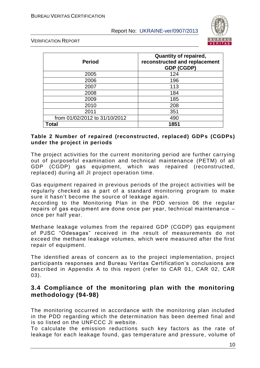

VERIFICATION REPORT

| <b>Period</b>                 | <b>Quantity of repaired,</b><br>reconstructed and replacement<br><b>GDP (CGDP)</b> |
|-------------------------------|------------------------------------------------------------------------------------|
| 2005                          | 124                                                                                |
| 2006                          | 196                                                                                |
| 2007                          | 113                                                                                |
| 2008                          | 184                                                                                |
| 2009                          | 185                                                                                |
| 2010                          | 208                                                                                |
| 2011                          | 351                                                                                |
| from 01/02/2012 to 31/10/2012 | 490                                                                                |
| Total                         | 1851                                                                               |

#### **Table 2 Number of repaired (reconstructed, replaced) GDPs (CGDPs) under the project in periods**

The project activities for the current monitoring period are further carrying out of purposeful examination and technical maintenance (PETM) of all GDP (CGDP) gas equipment, which was repaired (reconstructed, replaced) during all JI project operation time.

Gas equipment repaired in previous periods of the project activities will be regularly checked as a part of a standard monitoring program to make sure it hasn't become the source of leakage again.

According to the Monitoring Plan in the PDD version 06 the regular repairs оf gas equipment are done once per year, technical maintenance – once per half year.

Methane leakage volumes from the repaired GDP (CGDP) gas equipment of PJSC "Odesagas" received in the result of measurements do not exceed the methane leakage volumes, which were measured after the first repair of equipment.

The identified areas of concern as to the project implementation, project participants responses and Bureau Veritas Certification's conclusions are described in Appendix A to this report (refer to CAR 01, CAR 02, CAR 03).

#### **3.4 Compliance of the monitoring plan with the monitoring methodology (94-98)**

The monitoring occurred in accordance with the monitoring plan included in the PDD regarding which the determination has been deemed final and is so listed on the UNFCCC JI website.

To calculate the emission reductions such key factors as the rate of leakage for each leakage found, gas temperature and pressure, volume of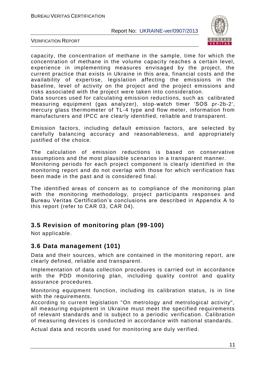

VERIFICATION REPORT

capacity, the concentration of methane in the sample, time for which the concentration of methane in the volume capacity reaches a certain level, experience in implementing measures envisaged by the project, the current practice that exists in Ukraine in this area, financial costs and the availability of expertise, legislation affecting the emissions in the baseline, level of activity on the project and the project emissions and risks associated with the project were taken into consideration.

Data sources used for calculating emission reductions, such as calibrated measuring equipment (gas analyzer), stop-watch timer 'SOS pr-2b-2', mercury glass thermometer of TL-4 type and flow meter, information from manufacturers and IPCC are clearly identified, reliable and transparent.

Emission factors, including default emission factors, are selected by carefully balancing accuracy and reasonableness, and appropriately justified of the choice.

The calculation of emission reductions is based on conservative assumptions and the most plausible scenarios in a transparent manner. Monitoring periods for each project component is clearly identified in the monitoring report and do not overlap with those for which verification has been made in the past and is considered final.

The identified areas of concern as to compliance of the monitoring plan with the monitoring methodology, project participants responses and Bureau Veritas Certification's conclusions are described in Appendix A to this report (refer to CAR 03, CAR 04).

#### **3.5 Revision of monitoring plan (99-100)**

Not applicable.

#### **3.6 Data management (101)**

Data and their sources, which are contained in the monitoring report, are clearly defined, reliable and transparent.

Implementation of data collection procedures is carried out in accordance with the PDD monitoring plan, including quality control and quality assurance procedures.

Monitoring equipment function, including its calibration status, is in line with the requirements.

According to current legislation "On metrology and metrological activity", all measuring equipment in Ukraine must meet the specified requirements of relevant standards and is subject to a periodic verification. Calibration of measuring devices is conducted in accordance with national standards.

Actual data and records used for monitoring are duly verified.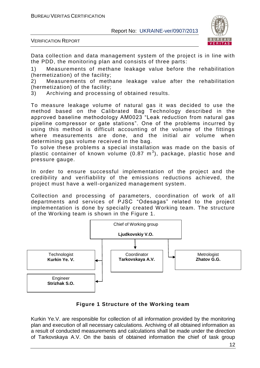

VERIFICATION REPORT

Data collection and data management system of the project is in line with the PDD, the monitoring plan and consists of three parts:

1) Measurements of methane leakage value before the rehabilitation (hermetization) of the facility;

2) Measurements of methane leakage value after the rehabilitation (hermetization) of the facility;

3) Archiving and processing of obtained results.

To measure leakage volume of natural gas it was decided to use the method based on the Calibrated Bag Technology described in the approved baseline methodology AM0023 "Leak reduction from natural gas pipeline compressor or gate stations". One of the problems incurred by using this method is difficult accounting of the volume of the fittings where measurements are done, and the initial air volume when determining gas volume received in the bag.

To solve these problems a special installation was made on the basis of plastic container of known volume (0.87  $\textsf{m}^{3}$ ), package, plastic hose and pressure gauge.

In order to ensure successful implementation of the project and the credibility and verifiability of the emissions reductions achieved, the project must have a well-organized management system.

Collection and processing of parameters, coordination of work of all departments and services of PJSC "Odesagas" related to the project implementation is done by specially created Working team. The structure of the Working team is shown in the Figure 1.



#### **Figure 1 Structure of the Working team**

Kurkin Ye.V. are responsible for collection of all information provided by the monitoring plan and execution of all necessary calculations. Archiving of all obtained information as a result of conducted measurements and calculations shall be made under the direction of Tarkovskaya A.V. On the basis of obtained information the chief of task group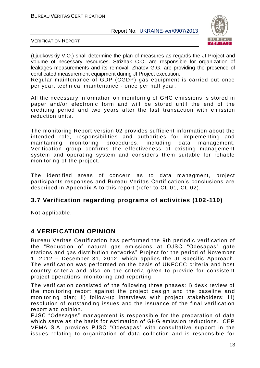

VERIFICATION REPORT

(Ljudkovskiy V.O.) shall determine the plan of measures as regards the JI Project and volume of necessary resources. Strizhak C.O. are responsible for organization of leakages measurements and its removal. Zhatov G.G. are providing the presence of certificated measurement equipment during JI Project execution.

Regular maintenance of GDP (CGDP) gas equipment is carried out once per year, technical maintenance - once per half year.

All the necessary information on monitoring of GHG emissions is stored in paper and/or electronic form and will be stored until the end of the crediting period and two years after the last transaction with emission reduction units.

The monitoring Report version 02 provides sufficient information about the intended role, responsibilities and authorities for implementing and maintaining monitoring procedures, including data management. Verification group confirms the effectiveness of existing management system and operating system and considers them suitable for reliable monitoring of the project.

The identified areas of concern as to data managment, project participants responses and Bureau Veritas Certification's conclusions are described in Appendix A to this report (refer to CL 01, CL 02).

#### **3.7 Verification regarding programs of activities (102-110)**

Not applicable.

#### **4 VERIFICATION OPINION**

Bureau Veritas Certification has performed the 9th periodic verification of the "Reduction of natural gas emissions at OJSC "Odesagas" gate stations and gas distribution networks" Project for the period of November 1, 2012 – December 31, 2012, which applies the JI Specific Approach. The verification was performed on the basis of UNFCCC criteria and host country criteria and also on the criteria given to provide for consistent project operations, monitoring and reporting.

The verification consisted of the following three phases: i) desk review of the monitoring report against the project design and the baseline an d monitoring plan; ii) follow-up interviews with project stakeholders; iii) resolution of outstanding issues and the issuance of the final verification report and opinion.

PJSC "Odesagas" management is responsible for the preparation of data which serve as the basis for estimation of GHG emission reductions. CEP VEMA S.A. provides PJSC "Odesagas" with consultative support in the issues relating to organization of data collection and is responsible for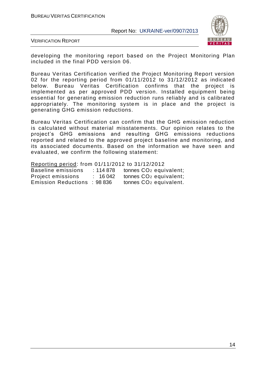

VERIFICATION REPORT

developing the monitoring report based on the Project Monitoring Plan included in the final PDD version 06.

Bureau Veritas Certification verified the Project Monitoring Report version 02 for the reporting period from 01/11/2012 to 31/12/2012 as indicated below. Bureau Veritas Certification confirms that the project is implemented as per approved PDD version. Installed equipment being essential for generating emission reduction runs reliably and is calibrated appropriately. The monitoring system is in place and the project is generating GHG emission reductions.

Bureau Veritas Certification can confirm that the GHG emission reduction is calculated without material misstatements. Our opinion relates to the project's GHG emissions and resulting GHG emissions reductions reported and related to the approved project baseline and monitoring, and its associated documents. Based on the information we have seen and evaluated, we confirm the following statement:

Reporting period: from 01/11/2012 to 31/12/2012 Baseline emissions : 114 878 tonnes CO<sub>2</sub> equivalent; Project emissions : 16 042 tonnes CO<sub>2</sub> equivalent; Emission Reductions : 98 836 tonnes CO<sup>2</sup> equivalent.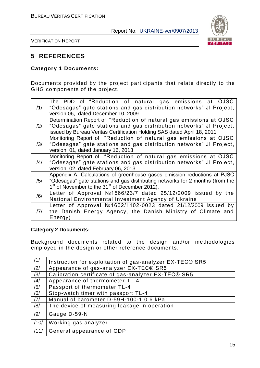

VERIFICATION REPORT

#### **5 REFERENCES**

#### **Category 1 Documents:**

Documents provided by the project participants that relate directly to the GHG components of the project.

| /1/ | The PDD of "Reduction of natural gas emissions at OJSC<br>"Odesagas" gate stations and gas distribution networks" JI Project,<br>version 06, dated December 10, 2009                                                                |
|-----|-------------------------------------------------------------------------------------------------------------------------------------------------------------------------------------------------------------------------------------|
| /2/ | Determination Report of "Reduction of natural gas emissions at OJSC<br>"Odesagas" gate stations and gas distribution networks" JI Project,<br>issued by Bureau Veritas Certification Holding SAS dated April 18, 2011               |
| /3/ | Monitoring Report of "Reduction of natural gas emissions at OJSC<br>"Odesagas" gate stations and gas distribution networks" JI Project,<br>version 01, dated January 16, 2013                                                       |
| /4/ | Monitoring Report of "Reduction of natural gas emissions at OJSC<br>"Odesagas" gate stations and gas distribution networks" JI Project,<br>version 02, dated February 06, 2013                                                      |
| /5/ | Appendix A. Calculations of greenhouse gases emission reductions at PJSC<br>"Odesagas" gate stations and gas distributing networks for 2 months (from the<br>1 <sup>st</sup> of November to the 31 <sup>st</sup> of December 2012). |
| /6/ | Letter of Approval №1566/23/7 dated 25/12/2009 issued by the<br>National Environmental Investment Agency of Ukraine                                                                                                                 |
| 7   | Letter of Approval Nº1602/1102-0023 dated 21/12/2009 issued by<br>the Danish Energy Agency, the Danish Ministry of Climate and<br>Energy)                                                                                           |

#### **Category 2 Documents:**

Background documents related to the design and/or methodologies employed in the design or other reference documents.

| /1/  | Instruction for exploitation of gas-analyzer EX-TEC® SR5 |
|------|----------------------------------------------------------|
| /2/  | Appearance of gas-analyzer EX-TEC® SR5                   |
| /3/  | Calibration certificate of gas-analyzer EX-TEC® SR5      |
| /4/  | Appearance of thermometer TL-4                           |
| /5/  | Passport of thermometer TL-4                             |
| /6/  | Stop-watch timer with passport TL-4                      |
| 7    | Manual of barometer D-59H-100-1.0 6 kPa                  |
| /8/  | The device of measuring leakage in operation             |
| /9/  | Gauge D-59-N                                             |
| /10/ | Working gas analyzer                                     |
| /11/ | General appearance of GDP                                |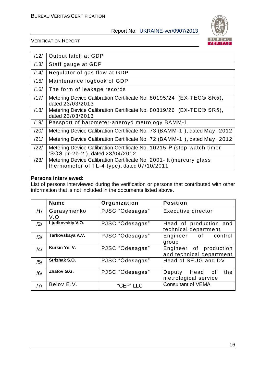

VERIFICATION REPORT

| /12/ | Output latch at GDP                                                                                                 |
|------|---------------------------------------------------------------------------------------------------------------------|
| /13/ | Staff gauge at GDP                                                                                                  |
| /14/ | Regulator of gas flow at GDP                                                                                        |
| /15/ | Maintenance logbook of GDP                                                                                          |
| /16/ | The form of leakage records                                                                                         |
| /17/ | Metering Device Calibration Certificate No. 80195/24 (EX-TEC® SR5),<br>dated 23/03/2013                             |
| /18/ | Metering Device Calibration Certificate No. 80319/26 (EX-TEC® SR5),<br>dated 23/03/2013                             |
| /19/ | Passport of barometer-aneroyd metrology BAMM-1                                                                      |
| /20/ | Metering Device Calibration Certificate No. 73 (BAMM-1), dated May, 2012                                            |
| /21/ | Metering Device Calibration Certificate No. 72 (BAMM-1), dated May, 2012                                            |
| /22/ | Metering Device Calibration Certificate No. 10215-P (stop-watch timer<br>'SOS pr-2b-2'), dated 23/04/2012           |
| /23/ | Metering Device Calibration Certificate No. 2001 - tt (mercury glass<br>thermometer of TL-4 type), dated 07/10/2011 |

#### **Persons interviewed:**

List of persons interviewed during the verification or persons that contributed with other information that is not included in the documents listed above.

|     | <b>Name</b>         | Organization    | <b>Position</b>                                    |
|-----|---------------------|-----------------|----------------------------------------------------|
| /1/ | Gerasymenko<br>V.O. | PJSC "Odesagas" | <b>Executive director</b>                          |
| /2/ | Ljudkovskiy V.O.    | PJSC "Odesagas" | Head of production and<br>technical department     |
| /3/ | Tarkovskaya A.V.    | PJSC "Odesagas" | Engineer of control<br>group                       |
| /4/ | Kurkin Ye. V.       | PJSC "Odesagas" | Engineer of production<br>and technical department |
| /5/ | Strizhak S.O.       | PJSC "Odesagas" | Head of SEUG and DV                                |
| /6/ | Zhatov G.G.         | PJSC "Odesagas" | the<br>Head of<br>Deputy<br>metrological service   |
| 7   | Belov E.V.          | "CEP" LLC       | <b>Consultant of VEMA</b>                          |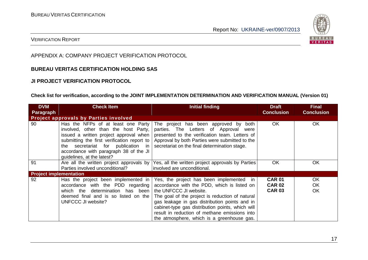

#### VERIFICATION REPORT

#### APPENDIX A: COMPANY PROJECT VERIFICATION PROTOCOL

#### **BUREAU VERITAS CERTIFICATION HOLDING SAS**

#### **JI PROJECT VERIFICATION PROTOCOL**

#### **Check list for verification, according to the JOINT IMPLEMENTATION DETERMINATION AND VERIFICATION MANUAL (Version 01)**

| <b>DVM</b>                    | <b>Check Item</b>                                                                                                                                                                                                                                                                    | Initial finding                                                                                                                                                                                                                                                                                                                                                          | <b>Draft</b>                                    | <b>Final</b>                        |  |  |  |
|-------------------------------|--------------------------------------------------------------------------------------------------------------------------------------------------------------------------------------------------------------------------------------------------------------------------------------|--------------------------------------------------------------------------------------------------------------------------------------------------------------------------------------------------------------------------------------------------------------------------------------------------------------------------------------------------------------------------|-------------------------------------------------|-------------------------------------|--|--|--|
| Paragraph                     |                                                                                                                                                                                                                                                                                      |                                                                                                                                                                                                                                                                                                                                                                          | <b>Conclusion</b>                               | <b>Conclusion</b>                   |  |  |  |
|                               | <b>Project approvals by Parties involved</b>                                                                                                                                                                                                                                         |                                                                                                                                                                                                                                                                                                                                                                          |                                                 |                                     |  |  |  |
| 90                            | Has the NFPs of at least one Party<br>involved, other than the host Party,<br>issued a written project approval when<br>submitting the first verification report to<br>secretariat for publication in<br>the<br>accordance with paragraph 38 of the JI<br>quidelines, at the latest? | The project has been approved by<br>both<br>parties. The Letters of Approval<br>were<br>presented to the verification team. Letters of<br>Approval by both Parties were submitted to the<br>secretariat on the final determination stage.                                                                                                                                | <b>OK</b>                                       | <b>OK</b>                           |  |  |  |
| 91                            | Are all the written project approvals by  <br>Parties involved unconditional?                                                                                                                                                                                                        | Yes, all the written project approvals by Parties<br>involved are unconditional.                                                                                                                                                                                                                                                                                         | OK                                              | <b>OK</b>                           |  |  |  |
| <b>Project implementation</b> |                                                                                                                                                                                                                                                                                      |                                                                                                                                                                                                                                                                                                                                                                          |                                                 |                                     |  |  |  |
| 92                            | Has the project been implemented in<br>accordance with the PDD regarding<br>which the determination has been<br>deemed final and is so listed on the<br>UNFCCC JI website?                                                                                                           | Yes, the project has been implemented in<br>accordance with the PDD, which is listed on<br>the UNFCCC JI website.<br>The goal of the project is reduction of natural<br>gas leakage in gas distribution points and in<br>cabinet-type gas distribution points, which will<br>result in reduction of methane emissions into<br>the atmosphere, which is a greenhouse gas. | <b>CAR 01</b><br><b>CAR 02</b><br><b>CAR 03</b> | <b>OK</b><br><b>OK</b><br><b>OK</b> |  |  |  |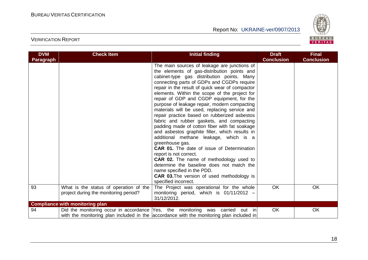

| <b>DVM</b> | <b>Check Item</b>                                                               | <b>Initial finding</b>                                                                                                                                                                                                                                                                                                                                                                                                                                                                                                                                                                                                                                                                                                                                                                                                                                                                                                                                                                          | <b>Draft</b><br><b>Conclusion</b> | <b>Final</b><br><b>Conclusion</b> |
|------------|---------------------------------------------------------------------------------|-------------------------------------------------------------------------------------------------------------------------------------------------------------------------------------------------------------------------------------------------------------------------------------------------------------------------------------------------------------------------------------------------------------------------------------------------------------------------------------------------------------------------------------------------------------------------------------------------------------------------------------------------------------------------------------------------------------------------------------------------------------------------------------------------------------------------------------------------------------------------------------------------------------------------------------------------------------------------------------------------|-----------------------------------|-----------------------------------|
| Paragraph  |                                                                                 | The main sources of leakage are junctions of<br>the elements of gas-distribution points and<br>cabinet-type gas distribution points. Many<br>connecting parts of GDPs and CGDPs require<br>repair in the result of quick wear of compactor<br>elements. Within the scope of the project for<br>repair of GDP and CGDP equipment, for the<br>purpose of leakage repair, modern compacting<br>materials will be used, replacing service and<br>repair practice based on rubberized asbestos<br>fabric and rubber gaskets, and compacting<br>padding made of cotton fiber with fat soakage<br>and asbestos graphite filler, which results in<br>additional methane leakage, which is a<br>greenhouse gas.<br><b>CAR 01.</b> The date of issue of Determination<br>report is not correct.<br><b>CAR 02.</b> The name of methodology used to<br>determine the baseline does not match the<br>name specified in the PDD.<br><b>CAR 03. The version of used methodology is</b><br>specified incorrect. |                                   |                                   |
| 93         | What is the status of operation of the<br>project during the monitoring period? | The Project was operational for the whole<br>monitoring period, which is 01/11/2012 -<br>31/12/2012.                                                                                                                                                                                                                                                                                                                                                                                                                                                                                                                                                                                                                                                                                                                                                                                                                                                                                            | OK                                | OK                                |
|            | <b>Compliance with monitoring plan</b>                                          |                                                                                                                                                                                                                                                                                                                                                                                                                                                                                                                                                                                                                                                                                                                                                                                                                                                                                                                                                                                                 |                                   |                                   |
| 94         |                                                                                 | Did the monitoring occur in accordance Yes, the monitoring was carried out in<br>with the monitoring plan included in the accordance with the monitoring plan included in                                                                                                                                                                                                                                                                                                                                                                                                                                                                                                                                                                                                                                                                                                                                                                                                                       | OK                                | <b>OK</b>                         |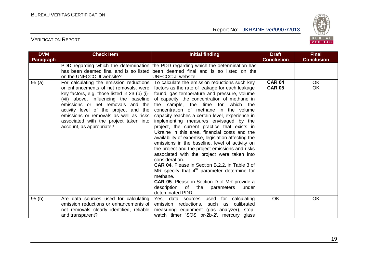

| <b>DVM</b> | <b>Check Item</b>                                                                                                                                                                                                                                                                                                                                                        | <b>Initial finding</b>                                                                                                                                                                                                                                                                                                                                                                                                                                                                                                                                                                                                                                                                                                                                                                                                                                                                                                                                   | <b>Draft</b>                   | <b>Final</b>      |
|------------|--------------------------------------------------------------------------------------------------------------------------------------------------------------------------------------------------------------------------------------------------------------------------------------------------------------------------------------------------------------------------|----------------------------------------------------------------------------------------------------------------------------------------------------------------------------------------------------------------------------------------------------------------------------------------------------------------------------------------------------------------------------------------------------------------------------------------------------------------------------------------------------------------------------------------------------------------------------------------------------------------------------------------------------------------------------------------------------------------------------------------------------------------------------------------------------------------------------------------------------------------------------------------------------------------------------------------------------------|--------------------------------|-------------------|
| Paragraph  |                                                                                                                                                                                                                                                                                                                                                                          |                                                                                                                                                                                                                                                                                                                                                                                                                                                                                                                                                                                                                                                                                                                                                                                                                                                                                                                                                          | <b>Conclusion</b>              | <b>Conclusion</b> |
|            | on the UNFCCC JI website?                                                                                                                                                                                                                                                                                                                                                | PDD regarding which the determination the PDD regarding which the determination has<br>has been deemed final and is so listed been deemed final and is so listed on the<br>UNFCCC JI website.                                                                                                                                                                                                                                                                                                                                                                                                                                                                                                                                                                                                                                                                                                                                                            |                                |                   |
| 95(a)      | For calculating the emission reductions<br>or enhancements of net removals, were<br>key factors, e.g. those listed in 23 (b) (i)-<br>(vii) above, influencing the baseline<br>emissions or net removals and the<br>activity level of the project and the<br>emissions or removals as well as risks<br>associated with the project taken into<br>account, as appropriate? | To calculate the emission reductions such key<br>factors as the rate of leakage for each leakage<br>found, gas temperature and pressure, volume<br>of capacity, the concentration of methane in<br>the sample, the time for which the<br>concentration of methane in the volume<br>capacity reaches a certain level, experience in<br>implementing measures envisaged by the<br>project, the current practice that exists in<br>Ukraine in this area, financial costs and the<br>availability of expertise, legislation affecting the<br>emissions in the baseline, level of activity on<br>the project and the project emissions and risks<br>associated with the project were taken into<br>consideration.<br>CAR 04. Please in Section B.2.2. in Table 3 of<br>MR specify that $4th$ parameter determine for<br>methane.<br><b>CAR 05.</b> Please in Section D of MR provide a<br>description<br>of<br>the<br>parameters<br>under<br>deteminated PDD. | <b>CAR 04</b><br><b>CAR 05</b> | <b>OK</b><br>OK   |
| 95(b)      | Are data sources used for calculating<br>emission reductions or enhancements of<br>net removals clearly identified, reliable<br>and transparent?                                                                                                                                                                                                                         | Yes, data sources used for<br>calculating<br>emission reductions, such as calibrated<br>measuring equipment (gas analyzer), stop-<br>watch timer 'SOS pr-2b-2', mercury glass                                                                                                                                                                                                                                                                                                                                                                                                                                                                                                                                                                                                                                                                                                                                                                            | OK                             | OK                |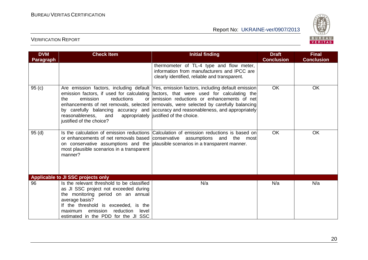

| <b>DVM</b><br>Paragraph | <b>Check Item</b>                                                                                                                                                                                                                                                    | <b>Initial finding</b>                                                                                                                                                                                                                                                                                                                                                                                                                                        | <b>Draft</b><br><b>Conclusion</b> | <b>Final</b><br><b>Conclusion</b> |
|-------------------------|----------------------------------------------------------------------------------------------------------------------------------------------------------------------------------------------------------------------------------------------------------------------|---------------------------------------------------------------------------------------------------------------------------------------------------------------------------------------------------------------------------------------------------------------------------------------------------------------------------------------------------------------------------------------------------------------------------------------------------------------|-----------------------------------|-----------------------------------|
|                         |                                                                                                                                                                                                                                                                      | thermometer of TL-4 type and flow meter,<br>information from manufacturers and IPCC are<br>clearly identified, reliable and transparent.                                                                                                                                                                                                                                                                                                                      |                                   |                                   |
| 95(c)                   | emission<br>reductions<br>the<br>reasonableness,<br>and<br>justified of the choice?                                                                                                                                                                                  | Are emission factors, including default Yes, emission factors, including default emission<br>emission factors, if used for calculating factors, that were used for calculating the<br>or emission reductions or enhancements of net<br>enhancements of net removals, selected removals, were selected by carefully balancing<br>by carefully balancing accuracy and accuracy and reasonableness, and appropriately<br>appropriately  justified of the choice. | <b>OK</b>                         | <b>OK</b>                         |
| 95(d)                   | most plausible scenarios in a transparent<br>manner?                                                                                                                                                                                                                 | Is the calculation of emission reductions Calculation of emission reductions is based on<br>or enhancements of net removals based conservative assumptions and the most<br>on conservative assumptions and the plausible scenarios in a transparent manner.                                                                                                                                                                                                   | <b>OK</b>                         | <b>OK</b>                         |
|                         | Applicable to JI SSC projects only                                                                                                                                                                                                                                   |                                                                                                                                                                                                                                                                                                                                                                                                                                                               |                                   |                                   |
| 96                      | Is the relevant threshold to be classified<br>as JI SSC project not exceeded during<br>the monitoring period on an annual<br>average basis?<br>If the threshold is exceeded, is the<br>reduction<br>maximum emission<br>level<br>estimated in the PDD for the JI SSC | N/a                                                                                                                                                                                                                                                                                                                                                                                                                                                           | N/a                               | N/a                               |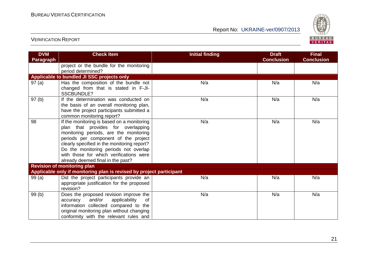

| <b>DVM</b><br><b>Paragraph</b> | <b>Check Item</b>                                                                                                                                                                                                                                                                                                                          | <b>Initial finding</b> | <b>Draft</b><br><b>Conclusion</b> | <b>Final</b><br><b>Conclusion</b> |
|--------------------------------|--------------------------------------------------------------------------------------------------------------------------------------------------------------------------------------------------------------------------------------------------------------------------------------------------------------------------------------------|------------------------|-----------------------------------|-----------------------------------|
|                                | project or the bundle for the monitoring<br>period determined?                                                                                                                                                                                                                                                                             |                        |                                   |                                   |
|                                | Applicable to bundled JI SSC projects only                                                                                                                                                                                                                                                                                                 |                        |                                   |                                   |
| 97(a)                          | Has the composition of the bundle not<br>changed from that is stated in F-JI-<br><b>SSCBUNDLE?</b>                                                                                                                                                                                                                                         | N/a                    | N/a                               | N/a                               |
| 97 (b)                         | If the determination was conducted on<br>the basis of an overall monitoring plan,<br>have the project participants submitted a<br>common monitoring report?                                                                                                                                                                                | N/a                    | N/a                               | N/a                               |
| 98                             | If the monitoring is based on a monitoring<br>plan that provides for overlapping<br>monitoring periods, are the monitoring<br>periods per component of the project<br>clearly specified in the monitoring report?<br>Do the monitoring periods not overlap<br>with those for which verifications were<br>already deemed final in the past? | N/a                    | N/a                               | N/a                               |
|                                | <b>Revision of monitoring plan</b>                                                                                                                                                                                                                                                                                                         |                        |                                   |                                   |
|                                | Applicable only if monitoring plan is revised by project participant                                                                                                                                                                                                                                                                       |                        |                                   |                                   |
| 99(a)                          | Did the project participants provide an<br>appropriate justification for the proposed<br>revision?                                                                                                                                                                                                                                         | N/a                    | N/a                               | N/a                               |
| 99 (b)                         | Does the proposed revision improve the<br>and/or<br>applicability<br>accuracy<br>of<br>information collected compared to the<br>original monitoring plan without changing<br>conformity with the relevant rules and                                                                                                                        | N/a                    | N/a                               | N/a                               |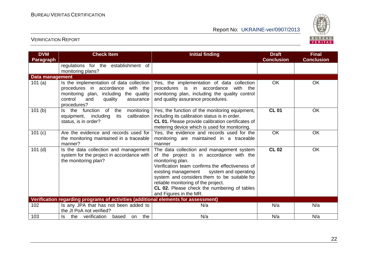

| <b>DVM</b><br><b>Paragraph</b> | <b>Check Item</b>                                                                                                                                                                | <b>Initial finding</b>                                                                                                                                                                                                                                                                                                                                                   | <b>Draft</b><br><b>Conclusion</b> | <b>Final</b><br><b>Conclusion</b> |
|--------------------------------|----------------------------------------------------------------------------------------------------------------------------------------------------------------------------------|--------------------------------------------------------------------------------------------------------------------------------------------------------------------------------------------------------------------------------------------------------------------------------------------------------------------------------------------------------------------------|-----------------------------------|-----------------------------------|
|                                | regulations for the establishment of<br>monitoring plans?                                                                                                                        |                                                                                                                                                                                                                                                                                                                                                                          |                                   |                                   |
| Data management                |                                                                                                                                                                                  |                                                                                                                                                                                                                                                                                                                                                                          |                                   |                                   |
| 101 $(a)$                      | Is the implementation of data collection<br>procedures in accordance with the<br>monitoring plan, including the quality<br>control<br>and<br>quality<br>assurance<br>procedures? | Yes, the implementation of data collection<br>procedures is in accordance<br>with the<br>monitoring plan, including the quality control<br>and quality assurance procedures.                                                                                                                                                                                             | <b>OK</b>                         | <b>OK</b>                         |
| 101(b)                         | function<br>the<br>monitoring<br>Is the<br>of<br>its<br>calibration<br>equipment, including<br>status, is in order?                                                              | Yes, the function of the monitoring equipment,<br>including its calibration status is in order.<br>CL 01. Please provide calibration certificates of<br>metering device which is used for monitoring.                                                                                                                                                                    | <b>CL 01</b>                      | <b>OK</b>                         |
| 101 (c)                        | Are the evidence and records used for<br>the monitoring maintained in a traceable<br>manner?                                                                                     | Yes, the evidence and records used for the<br>monitoring are maintained in a traceable<br>manner                                                                                                                                                                                                                                                                         | OK                                | <b>OK</b>                         |
| $101$ (d)                      | Is the data collection and management<br>system for the project in accordance with<br>the monitoring plan?                                                                       | The data collection and management system<br>of the project is in accordance with the<br>monitoring plan.<br>Verification team confirms the effectiveness of<br>existing management system and operating<br>system and considers them to be suitable for<br>reliable monitoring of the project.<br>CL 02. Please check the numbering of tables<br>and Figures in the MR. | <b>CL 02</b>                      | <b>OK</b>                         |
|                                | Verification regarding programs of activities (additional elements for assessment)                                                                                               |                                                                                                                                                                                                                                                                                                                                                                          |                                   |                                   |
| 102                            | Is any JPA that has not been added to<br>the JI PoA not verified?                                                                                                                | N/a                                                                                                                                                                                                                                                                                                                                                                      | N/a                               | N/a                               |
| 103                            | Is the verification<br>the<br>based<br>on                                                                                                                                        | N/a                                                                                                                                                                                                                                                                                                                                                                      | N/a                               | N/a                               |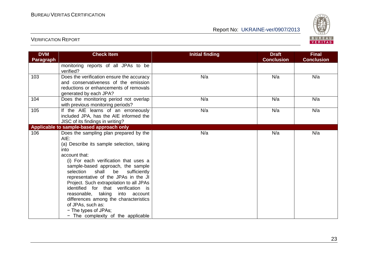

| <b>DVM</b><br><b>Paragraph</b> | <b>Check Item</b>                                                                                                                                                                                                                                                                                                                                                                                                                                                                                                                       | <b>Initial finding</b> | <b>Draft</b><br><b>Conclusion</b> | <b>Final</b><br><b>Conclusion</b> |
|--------------------------------|-----------------------------------------------------------------------------------------------------------------------------------------------------------------------------------------------------------------------------------------------------------------------------------------------------------------------------------------------------------------------------------------------------------------------------------------------------------------------------------------------------------------------------------------|------------------------|-----------------------------------|-----------------------------------|
|                                | monitoring reports of all JPAs to be<br>verified?                                                                                                                                                                                                                                                                                                                                                                                                                                                                                       |                        |                                   |                                   |
| 103                            | Does the verification ensure the accuracy<br>and conservativeness of the emission<br>reductions or enhancements of removals<br>generated by each JPA?                                                                                                                                                                                                                                                                                                                                                                                   | N/a                    | N/a                               | N/a                               |
| 104                            | Does the monitoring period not overlap<br>with previous monitoring periods?                                                                                                                                                                                                                                                                                                                                                                                                                                                             | N/a                    | N/a                               | N/a                               |
| 105                            | If the AIE learns of an erroneously<br>included JPA, has the AIE informed the<br>JISC of its findings in writing?                                                                                                                                                                                                                                                                                                                                                                                                                       | N/a                    | N/a                               | N/a                               |
|                                | Applicable to sample-based approach only                                                                                                                                                                                                                                                                                                                                                                                                                                                                                                |                        |                                   |                                   |
| 106                            | Does the sampling plan prepared by the<br>AIE:<br>(a) Describe its sample selection, taking<br>into<br>account that:<br>(i) For each verification that uses a<br>sample-based approach, the sample<br>shall be<br>selection<br>sufficiently<br>representative of the JPAs in the JI<br>Project. Such extrapolation to all JPAs<br>identified for that verification is<br>reasonable, taking<br>into account<br>differences among the characteristics<br>of JPAs, such as:<br>- The types of JPAs;<br>- The complexity of the applicable | N/a                    | N/a                               | N/a                               |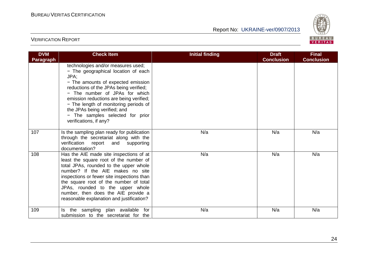

| <b>DVM</b><br><b>Paragraph</b> | <b>Check Item</b>                                                                                                                                                                                                                                                                                                                                                                     | <b>Initial finding</b> | <b>Draft</b><br><b>Conclusion</b> | <b>Final</b><br><b>Conclusion</b> |
|--------------------------------|---------------------------------------------------------------------------------------------------------------------------------------------------------------------------------------------------------------------------------------------------------------------------------------------------------------------------------------------------------------------------------------|------------------------|-----------------------------------|-----------------------------------|
|                                | technologies and/or measures used;<br>- The geographical location of each<br>JPA;<br>- The amounts of expected emission<br>reductions of the JPAs being verified;<br>- The number of JPAs for which<br>emission reductions are being verified;<br>- The length of monitoring periods of<br>the JPAs being verified; and<br>- The samples selected for prior<br>verifications, if any? |                        |                                   |                                   |
| 107                            | Is the sampling plan ready for publication<br>through the secretariat along with the<br>verification report<br>supporting<br>and<br>documentation?                                                                                                                                                                                                                                    | N/a                    | N/a                               | N/a                               |
| 108                            | Has the AIE made site inspections of at<br>least the square root of the number of<br>total JPAs, rounded to the upper whole<br>number? If the AIE makes no site<br>inspections or fewer site inspections than<br>the square root of the number of total<br>JPAs, rounded to the upper whole<br>number, then does the AIE provide a<br>reasonable explanation and justification?       | N/a                    | N/a                               | N/a                               |
| 109                            | the sampling plan available for<br>ls.<br>submission to the secretariat for the                                                                                                                                                                                                                                                                                                       | N/a                    | N/a                               | N/a                               |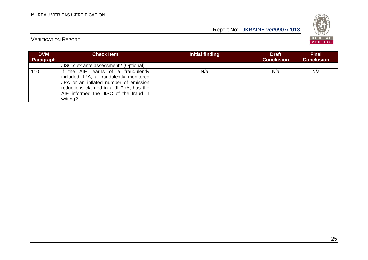

| <b>DVM</b><br>Paragraph | <b>Check Item</b>                                                                                                                                                                                                      | Initial finding | <b>Draft</b><br><b>Conclusion</b> | <b>Final</b><br><b>Conclusion</b> |
|-------------------------|------------------------------------------------------------------------------------------------------------------------------------------------------------------------------------------------------------------------|-----------------|-----------------------------------|-----------------------------------|
|                         | JISC.s ex ante assessment? (Optional)                                                                                                                                                                                  |                 |                                   |                                   |
| 110                     | If the AIE learns of a fraudulently<br>included JPA, a fraudulently monitored<br>JPA or an inflated number of emission<br>reductions claimed in a JI PoA, has the<br>AIE informed the JISC of the fraud in<br>writing? | N/a             | N/a                               | N/a                               |